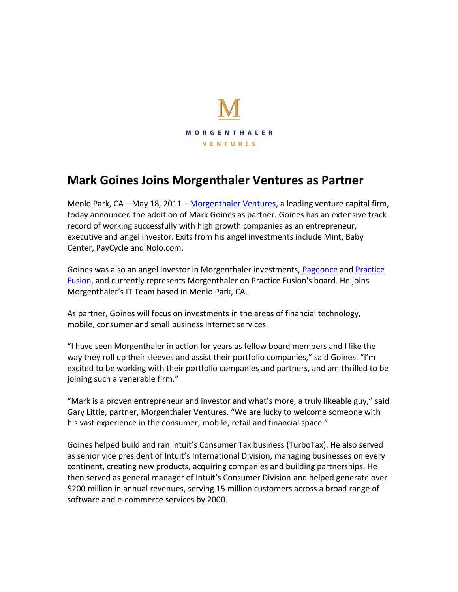

## **Mark Goines Joins Morgenthaler Ventures as Partner**

Menlo Park, CA – May 18, 2011 – Morgenthaler Ventures, a leading venture capital firm, today announced the addition of Mark Goines as partner. Goines has an extensive track record of working successfully with high growth companies as an entrepreneur, executive and angel investor. Exits from his angel investments include Mint, Baby Center, PayCycle and Nolo.com.

Goines was also an angel investor in Morgenthaler investments, Pageonce and Practice Fusion, and currently represents Morgenthaler on Practice Fusion's board. He joins Morgenthaler's IT Team based in Menlo Park, CA.

As partner, Goines will focus on investments in the areas of financial technology, mobile, consumer and small business Internet services.

"I have seen Morgenthaler in action for years as fellow board members and I like the way they roll up their sleeves and assist their portfolio companies," said Goines. "I'm excited to be working with their portfolio companies and partners, and am thrilled to be joining such a venerable firm."

"Mark is a proven entrepreneur and investor and what's more, a truly likeable guy," said Gary Little, partner, Morgenthaler Ventures. "We are lucky to welcome someone with his vast experience in the consumer, mobile, retail and financial space."

Goines helped build and ran Intuit's Consumer Tax business (TurboTax). He also served as senior vice president of Intuit's International Division, managing businesses on every continent, creating new products, acquiring companies and building partnerships. He then served as general manager of Intuit's Consumer Division and helped generate over \$200 million in annual revenues, serving 15 million customers across a broad range of software and e-commerce services by 2000.